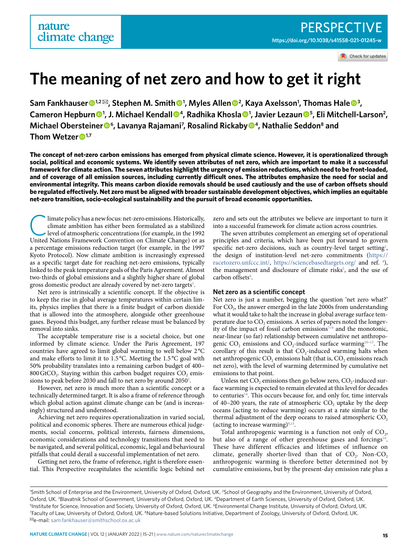Check for updates

# **The meaning of net zero and how to get it right**

**Sam Fankhauser 1,2** ✉**, Stephen M. Smith <sup>1</sup> , Myles Allen <sup>2</sup> , Kaya Axelsson1 , Thomas Hale  <sup>3</sup> , Cameron Hepburn  <sup>1</sup> , J. Michael Kendall  4, Radhika Khosla <sup>1</sup> , Javier Lezaun <sup>5</sup> , Eli Mitchell-Larson2 , Michael Obersteiner<sup>®</sup>, Lavanya Rajamani<sup>7</sup>, Rosalind Rickaby<sup>®4</sup>, Nathalie Seddon<sup>8</sup> and Thom Wetzer  1,7**

**The concept of net-zero carbon emissions has emerged from physical climate science. However, it is operationalized through social, political and economic systems. We identify seven attributes of net zero, which are important to make it a successful framework for climate action. The seven attributes highlight the urgency of emission reductions, which need to be front-loaded, and of coverage of all emission sources, including currently difficult ones. The attributes emphasize the need for social and environmental integrity. This means carbon dioxide removals should be used cautiously and the use of carbon offsets should be regulated effectively. Net zero must be aligned with broader sustainable development objectives, which implies an equitable net-zero transition, socio-ecological sustainability and the pursuit of broad economic opportunities.**

limate policy has a new focus: net-zero emissions. Historically, climate ambition has either been formulated as a stabilized level of atmospheric concentrations (for example, in the 1992 United Nations Framework Convention on Climate Change) or as a percentage emissions reduction target (for example, in the 1997 Kyoto Protocol). Now climate ambition is increasingly expressed as a specific target date for reaching net-zero emissions, typically linked to the peak temperature goals of the Paris Agreement. Almost two-thirds of global emissions and a slightly higher share of global gross domestic product are already covered by net-zero targets<sup>[1](#page-4-0)</sup>.

Net zero is intrinsically a scientific concept. If the objective is to keep the rise in global average temperatures within certain limits, physics implies that there is a finite budget of carbon dioxide that is allowed into the atmosphere, alongside other greenhouse gases. Beyond this budget, any further release must be balanced by removal into sinks.

The acceptable temperature rise is a societal choice, but one informed by climate science. Under the Paris Agreement, 197 countries have agreed to limit global warming to well below 2°C and make efforts to limit it to 1.5 °C. Meeting the 1.5 °C goal with 50% probability translates into a remaining carbon budget of 400–  $800$  GtCO<sub>2</sub>. Staying within this carbon budget requires CO<sub>2</sub> emis-sions to peak before [2](#page-5-0)030 and fall to net zero by around 2050 $^{\rm 2}$ .

However, net zero is much more than a scientific concept or a technically determined target. It is also a frame of reference through which global action against climate change can be (and is increasingly) structured and understood.

Achieving net zero requires operationalization in varied social, political and economic spheres. There are numerous ethical judgements, social concerns, political interests, fairness dimensions, economic considerations and technology transitions that need to be navigated, and several political, economic, legal and behavioural pitfalls that could derail a successful implementation of net zero.

Getting net zero, the frame of reference, right is therefore essential. This Perspective recapitulates the scientific logic behind net zero and sets out the attributes we believe are important to turn it into a successful framework for climate action across countries.

The seven attributes complement an emerging set of operational principles and criteria, which have been put forward to govern specific net-zero decisions, such as country-level target setting<sup>3</sup>, the design of institution-level net-zero commitments ([https://](https://racetozero.unfccc.int/) [racetozero.unfccc.int/](https://racetozero.unfccc.int/), <https://sciencebasedtargets.org/> and ref. [4](#page-5-2)), the management and disclosure of climate risks<sup>5</sup>, and the use of carbon offsets<sup>[6](#page-5-4)</sup>.

### **Net zero as a scientific concept**

Net zero is just a number, begging the question 'net zero what?' For  $CO<sub>2</sub>$ , the answer emerged in the late 2000s from understanding what it would take to halt the increase in global average surface temperature due to CO<sub>2</sub> emissions. A series of papers noted the longevity of the impact of fossil carbon emissions<sup> $7-9$  $7-9$ </sup> and the monotonic, near-linear (so far) relationship between cumulative net anthropogenic CO<sub>2</sub> emissions and CO<sub>2</sub>-induced surface warming<sup>10-13</sup>. The corollary of this result is that  $CO<sub>2</sub>$ -induced warming halts when net anthropogenic CO<sub>2</sub> emissions halt (that is, CO<sub>2</sub> emissions reach net zero), with the level of warming determined by cumulative net emissions to that point.

Unless net  $CO$ , emissions then go below zero,  $CO$ ,-induced surface warming is expected to remain elevated at this level for decades to centuries<sup>14</sup>. This occurs because for, and only for, time intervals of  $40-200$  years, the rate of atmospheric CO<sub>2</sub> uptake by the deep oceans (acting to reduce warming) occurs at a rate similar to the thermal adjustment of the deep oceans to raised atmospheric  $CO<sub>2</sub>$ (acting to increase warming) $9,15$  $9,15$ 

Total anthropogenic warming is a function not only of  $CO<sub>2</sub>$ , but also of a range of other greenhouse gases and forcings<sup>16</sup>. These have different efficacies and lifetimes of influence on climate, generally shorter-lived than that of  $CO<sub>2</sub>$ . Non- $CO<sub>2</sub>$ anthropogenic warming is therefore better determined not by cumulative emissions, but by the present-day emission rate plus a

<sup>&</sup>lt;sup>1</sup>Smith School of Enterprise and the Environment, University of Oxford, Oxford, UK. <sup>2</sup>School of Geography and the Environment, University of Oxford, Oxford, UK. <sup>3</sup>Blavatnik School of Government, University of Oxford, Oxford, UK. <sup>4</sup>Department of Earth Sciences, University of Oxford, Oxford, UK.<br><sup>5</sup>Institute for Science, Innovation and Society, University of Oxford, Ox <sup>5</sup>Institute for Science, Innovation and Society, University of Oxford, Oxford, UK. <sup>6</sup>Environmental Change Institute, University of Oxford, Oxford, UK. Faculty of Law, University of Oxford, Oxford, UK. 8Nature-based Solutions Initiative, Department of Zoology, University of Oxford, Oxford, UK. ✉e-mail: [sam.fankhauser@smithschool.ox.ac.uk](mailto:sam.fankhauser@smithschool.ox.ac.uk)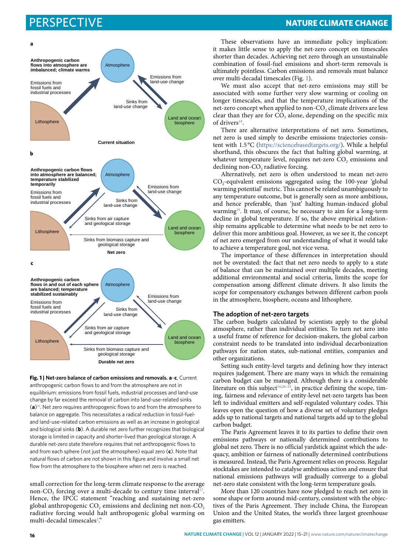

<span id="page-1-0"></span>**Fig. 1 | Net-zero balance of carbon emissions and removals. a**–**c**, Current anthropogenic carbon flows to and from the atmosphere are not in equilibrium: emissions from fossil fuels, industrial processes and land-use change by far exceed the removal of carbon into land-use-related sinks (**a**)[16](#page-5-11). Net zero requires anthropogenic flows to and from the atmosphere to balance on aggregate. This necessitates a radical reduction in fossil-fueland land-use-related carbon emissions as well as an increase in geological and biological sinks (**b**). A durable net zero further recognizes that biological storage is limited in capacity and shorter-lived than geological storage. A durable net-zero state therefore requires that net anthropogenic flows to and from each sphere (not just the atmosphere) equal zero (**c**). Note that natural flows of carbon are not shown in this figure and involve a small net flow from the atmosphere to the biosphere when net zero is reached.

small correction for the long-term climate response to the average non-CO<sub>2</sub> forcing over a multi-decade to century time interval<sup>17</sup>. Hence, the IPCC statement "reaching and sustaining net-zero global anthropogenic  $CO$ , emissions and declining net non- $CO<sub>2</sub>$ radiative forcing would halt anthropogenic global warming on multi-decadal timescales<sup>[2](#page-5-0)</sup>."

## Perspective **NaTure ClimaTe CHange**

These observations have an immediate policy implication: it makes little sense to apply the net-zero concept on timescales shorter than decades. Achieving net zero through an unsustainable combination of fossil-fuel emissions and short-term removals is ultimately pointless. Carbon emissions and removals must balance over multi-decadal timescales (Fig. [1\)](#page-1-0).

We must also accept that net-zero emissions may still be associated with some further very slow warming or cooling on longer timescales, and that the temperature implications of the net-zero concept when applied to non-CO<sub>2</sub> climate drivers are less clear than they are for  $CO<sub>2</sub>$  alone, depending on the specific mix of drivers<sup>18</sup>.

There are alternative interpretations of net zero. Sometimes, net zero is used simply to describe emissions trajectories consistent with 1.5 °C ([https://sciencebasedtargets.org/\)](https://sciencebasedtargets.org/). While a helpful shorthand, this obscures the fact that halting global warming, at whatever temperature level, requires net-zero CO<sub>2</sub> emissions and declining non-CO<sub>2</sub> radiative forcing.

Alternatively, net zero is often understood to mean net-zero CO2-equivalent emissions aggregated using the 100-year 'global warming potential' metric. This cannot be related unambiguously to any temperature outcome, but is generally seen as more ambitious, and hence preferable, than 'just' halting human-induced global warming<sup>[19](#page-5-14)</sup>. It may, of course, be necessary to aim for a long-term decline in global temperature. If so, the above empirical relationship remains applicable to determine what needs to be net zero to deliver this more ambitious goal. However, as we see it, the concept of net zero emerged from our understanding of what it would take to achieve a temperature goal, not vice versa.

The importance of these differences in interpretation should not be overstated: the fact that net zero needs to apply to a state of balance that can be maintained over multiple decades, meeting additional environmental and social criteria, limits the scope for compensation among different climate drivers. It also limits the scope for compensatory exchanges between different carbon pools in the atmosphere, biosphere, oceans and lithosphere.

### **The adoption of net-zero targets**

The carbon budgets calculated by scientists apply to the global atmosphere, rather than individual entities. To turn net zero into a useful frame of reference for decision-makers, the global carbon constraint needs to be translated into individual decarbonization pathways for nation states, sub-national entities, companies and other organizations.

Setting such entity-level targets and defining how they interact requires judgement. There are many ways in which the remaining carbon budget can be managed. Although there is a considerable literature on this subject<sup>18,20-23</sup>, in practice defining the scope, timing, fairness and relevance of entity-level net-zero targets has been left to individual emitters and self-regulated voluntary codes. This leaves open the question of how a diverse set of voluntary pledges adds up to national targets and national targets add up to the global carbon budget.

The Paris Agreement leaves it to its parties to define their own emissions pathways or nationally determined contributions to global net zero. There is no official yardstick against which the adequacy, ambition or fairness of nationally determined contributions is measured. Instead, the Paris Agreement relies on process. Regular stocktakes are intended to catalyse ambitious action and ensure that national emissions pathways will gradually converge to a global net-zero state consistent with the long-term temperature goals.

More than 120 countries have now pledged to reach net zero in some shape or form around mid-century, consistent with the objectives of the Paris Agreement. They include China, the European Union and the United States, the world's three largest greenhouse gas emitters.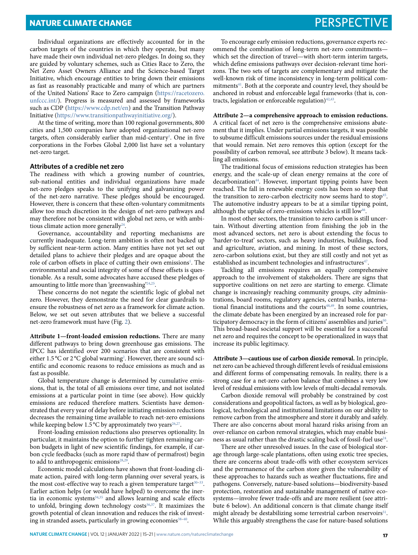**NATURE CLIMATE CHANGE PERSPECTIVE** 

Individual organizations are effectively accounted for in the carbon targets of the countries in which they operate, but many have made their own individual net-zero pledges. In doing so, they are guided by voluntary schemes, such as Cities Race to Zero, the Net Zero Asset Owners Alliance and the Science-based Target Initiative, which encourage entities to bring down their emissions as fast as reasonably practicable and many of which are partners of the United Nations' Race to Zero campaign [\(https://racetozero.](https://racetozero.unfccc.int/) [unfccc.int/](https://racetozero.unfccc.int/)). Progress is measured and assessed by frameworks such as CDP [\(https://www.cdp.net/en](https://www.cdp.net/en)) and the Transition Pathway Initiative [\(https://www.transitionpathwayinitiative.org/](https://www.transitionpathwayinitiative.org/)).

At the time of writing, more than 100 regional governments, 800 cities and 1,500 companies have adopted organizational net-zero targets, often considerably earlier than mid-century<sup>[1](#page-4-0)</sup>. One in five corporations in the Forbes Global 2,000 list have set a voluntary net-zero target.

#### **Attributes of a credible net zero**

The readiness with which a growing number of countries, sub-national entities and individual organizations have made net-zero pledges speaks to the unifying and galvanizing power of the net-zero narrative. These pledges should be encouraged. However, there is concern that these often-voluntary commitments allow too much discretion in the design of net-zero pathways and may therefore not be consistent with global net zero, or with ambitious climate action more generally<sup>24</sup>

Governance, accountability and reporting mechanisms are currently inadequate. Long-term ambition is often not backed up by sufficient near-term action. Many entities have not yet set out detailed plans to achieve their pledges and are opaque about the role of carbon offsets in place of cutting their own emissions<sup>[1](#page-4-0)</sup>. The environmental and social integrity of some of these offsets is questionable. As a result, some advocates have accused these pledges of amounting to little more than 'greenwashing'[24](#page-5-17)[,25.](#page-5-18)

These concerns do not negate the scientific logic of global net zero. However, they demonstrate the need for clear guardrails to ensure the robustness of net zero as a framework for climate action. Below, we set out seven attributes that we believe a successful net-zero framework must have (Fig. [2](#page-3-0)).

**Attribute 1—front-loaded emission reductions.** There are many different pathways to bring down greenhouse gas emissions. The IPCC has identified over 200 scenarios that are consistent with either 1.5 °C or 2 °C global warming<sup>2</sup>. However, there are sound scientific and economic reasons to reduce emissions as much and as fast as possible.

Global temperature change is determined by cumulative emissions, that is, the total of all emissions over time, and not isolated emissions at a particular point in time (see above). How quickly emissions are reduced therefore matters. Scientists have demonstrated that every year of delay before initiating emission reductions decreases the remaining time available to reach net-zero emissions while keeping below 1.5 °C by approximately two years<sup>26,27</sup>.

Front-loading emission reductions also preserves optionality. In particular, it maintains the option to further tighten remaining carbon budgets in light of new scientific findings, for example, if carbon cycle feedbacks (such as more rapid thaw of permafrost) begin to add to anthropogenic emissions<sup>28,25</sup>

Economic model calculations have shown that front-loading climate action, paired with long-term planning over several years, is the most cost-effective way to reach a given temperature target $30-33$ . Earlier action helps (or would have helped) to overcome the inertia in economic systems<sup>34,35</sup> and allows learning and scale effects to unfold, bringing down technology costs<sup>[36](#page-5-27)[,37](#page-5-28)</sup>. It maximizes the growth potential of clean innovation and reduces the risk of investing in stranded assets, particularly in growing economies<sup>38-40</sup>.

To encourage early emission reductions, governance experts recommend the combination of long-term net-zero commitments which set the direction of travel—with short-term interim targets, which define emissions pathways over decision-relevant time horizons. The two sets of targets are complementary and mitigate the well-known risk of time inconsistency in long-term political commitments<sup>41</sup>. Both at the corporate and country level, they should be anchored in robust and enforceable legal frameworks (that is, con-tracts, legislation or enforceable regulation)<sup>[42,](#page-5-32)[43](#page-5-33)</sup>.

**Attribute 2—a comprehensive approach to emission reductions.** A critical facet of net zero is the comprehensive emissions abatement that it implies. Under partial emissions targets, it was possible to subsume difficult emissions sources under the residual emissions that would remain. Net zero removes this option (except for the possibility of carbon removal, see attribute 3 below). It means tackling all emissions.

The traditional focus of emissions reduction strategies has been energy, and the scale-up of clean energy remains at the core of decarbonization<sup>[44](#page-5-34)</sup>. However, important tipping points have been reached. The fall in renewable energy costs has been so steep that the transition to zero-carbon electricity now seems hard to stop<sup>45</sup>. The automotive industry appears to be at a similar tipping point, although the uptake of zero-emissions vehicles is still low<sup>46</sup>.

In most other sectors, the transition to zero carbon is still uncertain. Without diverting attention from finishing the job in the most advanced sectors, net zero is about extending the focus to 'harder-to-treat' sectors, such as heavy industries, buildings, food and agriculture, aviation, and mining. In most of these sectors, zero-carbon solutions exist, but they are still costly and not yet as established as incumbent technologies and infrastructures<sup>47</sup>.

Tackling all emissions requires an equally comprehensive approach to the involvement of stakeholders. There are signs that supportive coalitions on net zero are starting to emerge. Climate change is increasingly reaching community groups, city administrations, board rooms, regulatory agencies, central banks, interna-tional financial institutions and the courts<sup>[48](#page-5-38)[,49](#page-5-39)</sup>. In some countries, the climate debate has been energized by an increased role for participatory democracy in the form of citizens' assemblies and juries<sup>50</sup>. This broad-based societal support will be essential for a successful net zero and requires the concept to be operationalized in ways that increase its public legitimacy.

**Attribute 3—cautious use of carbon dioxide removal.** In principle, net zero can be achieved through different levels of residual emissions and different forms of compensating removals. In reality, there is a strong case for a net-zero carbon balance that combines a very low level of residual emissions with low levels of multi-decadal removals.

Carbon dioxide removal will probably be constrained by cost considerations and geopolitical factors, as well as by biological, geological, technological and institutional limitations on our ability to remove carbon from the atmosphere and store it durably and safely. There are also concerns about moral hazard risks arising from an over-reliance on carbon removal strategies, which may enable business as usual rather than the drastic scaling back of fossil-fuel use $24$ .

There are other unresolved issues. In the case of biological storage through large-scale plantations, often using exotic tree species, there are concerns about trade-offs with other ecosystem services and the permanence of the carbon store given the vulnerability of these approaches to hazards such as weather fluctuations, fire and pathogens. Conversely, nature-based solutions—biodiversity-based protection, restoration and sustainable management of native ecosystems—involve fewer trade-offs and are more resilient (see attribute 6 below). An additional concern is that climate change itself might already be destabilizing some terrestrial carbon reservoirs<sup>51</sup>. While this arguably strengthens the case for nature-based solutions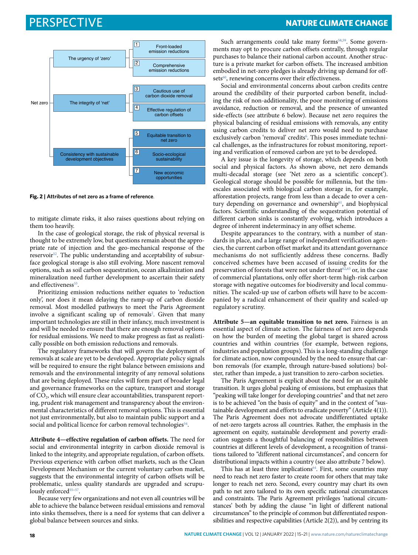

<span id="page-3-0"></span>**Fig. 2 | Attributes of net zero as a frame of reference**.

to mitigate climate risks, it also raises questions about relying on them too heavily.

In the case of geological storage, the risk of physical reversal is thought to be extremely low, but questions remain about the appropriate rate of injection and the geo-mechanical response of the reservoir[52.](#page-5-42) The public understanding and acceptability of subsurface geological storage is also still evolving. More nascent removal options, such as soil carbon sequestration, ocean alkalinization and mineralization need further development to ascertain their safety and effectiveness<sup>53</sup>.

Prioritizing emission reductions neither equates to 'reduction only', nor does it mean delaying the ramp-up of carbon dioxide removal. Most modelled pathways to meet the Paris Agreement involve a significant scaling up of removals<sup>[2](#page-5-0)</sup>. Given that many important technologies are still in their infancy, much investment is and will be needed to ensure that there are enough removal options for residual emissions. We need to make progress as fast as realistically possible on both emission reductions and removals.

The regulatory frameworks that will govern the deployment of removals at scale are yet to be developed. Appropriate policy signals will be required to ensure the right balance between emissions and removals and the environmental integrity of any removal solutions that are being deployed. These rules will form part of broader legal and governance frameworks on the capture, transport and storage of CO<sub>2</sub>, which will ensure clear accountabilities, transparent reporting, prudent risk management and transparency about the environmental characteristics of different removal options. This is essential not just environmentally, but also to maintain public support and a social and political licence for carbon removal technologies<sup>[54](#page-5-44)</sup>.

**Attribute 4—effective regulation of carbon offsets.** The need for social and environmental integrity in carbon dioxide removal is linked to the integrity, and appropriate regulation, of carbon offsets. Previous experience with carbon offset markets, such as the Clean Development Mechanism or the current voluntary carbon market, suggests that the environmental integrity of carbon offsets will be problematic, unless quality standards are upgraded and scrupu-lously enforced<sup>[55](#page-5-45)-57</sup>.

Because very few organizations and not even all countries will be able to achieve the balance between residual emissions and removal into sinks themselves, there is a need for systems that can deliver a global balance between sources and sinks.

## Perspective **NaTure ClimaTe CHange**

Such arrangements could take many forms<sup>[58](#page-5-47)[,59](#page-5-48)</sup>. Some governments may opt to procure carbon offsets centrally, through regular purchases to balance their national carbon account. Another structure is a private market for carbon offsets. The increased ambition embodied in net-zero pledges is already driving up demand for offsets<sup>60</sup>, renewing concerns over their effectiveness.

Social and environmental concerns about carbon credits centre around the credibility of their purported carbon benefit, including the risk of non-additionality, the poor monitoring of emissions avoidance, reduction or removal, and the presence of unwanted side-effects (see attribute 6 below). Because net zero requires the physical balancing of residual emissions with removals, any entity using carbon credits to deliver net zero would need to purchase exclusively carbon 'removal' credits<sup>6</sup>. This poses immediate technical challenges, as the infrastructures for robust monitoring, reporting and verification of removed carbon are yet to be developed.

A key issue is the longevity of storage, which depends on both social and physical factors. As shown above, net zero demands multi-decadal storage (see 'Net zero as a scientific concept'). Geological storage should be possible for millennia, but the timescales associated with biological carbon storage in, for example, afforestation projects, range from less than a decade to over a century depending on governance and ownership<sup>61</sup>, and biophysical factors. Scientific understanding of the sequestration potential of different carbon sinks is constantly evolving, which introduces a degree of inherent indeterminacy in any offset scheme.

Despite appearances to the contrary, with a number of standards in place, and a large range of independent verification agencies, the current carbon offset market and its attendant governance mechanisms do not sufficiently address these concerns. Badly conceived schemes have been accused of issuing credits for the preservation of forests that were not under threat<sup>[62](#page-5-51),63</sup> or, in the case of commercial plantations, only offer short-term high-risk carbon storage with negative outcomes for biodiversity and local communities. The scaled-up use of carbon offsets will have to be accompanied by a radical enhancement of their quality and scaled-up regulatory scrutiny.

**Attribute 5—an equitable transition to net zero.** Fairness is an essential aspect of climate action. The fairness of net zero depends on how the burden of meeting the global target is shared across countries and within countries (for example, between regions, industries and population groups). This is a long-standing challenge for climate action, now compounded by the need to ensure that carbon removals (for example, through nature-based solutions) bolster, rather than impede, a just transition to zero-carbon societies.

The Paris Agreement is explicit about the need for an equitable transition. It urges global peaking of emissions, but emphasizes that "peaking will take longer for developing countries" and that net zero is to be achieved "on the basis of equity" and in the context of "sustainable development and efforts to eradicate poverty" (Article 4(1)). The Paris Agreement does not advocate undifferentiated uptake of net-zero targets across all countries. Rather, the emphasis in the agreement on equity, sustainable development and poverty eradication suggests a thoughtful balancing of responsibilities between countries at different levels of development, a recognition of transitions tailored to "different national circumstances", and concern for distributional impacts within a country (see also attribute 7 below).

This has at least three implications<sup>64</sup>. First, some countries may need to reach net zero faster to create room for others that may take longer to reach net zero. Second, every country may chart its own path to net zero tailored to its own specific national circumstances and constraints. The Paris Agreement privileges 'national circumstances' both by adding the clause "in light of different national circumstances" to the principle of common but differentiated responsibilities and respective capabilities (Article 2(2)), and by centring its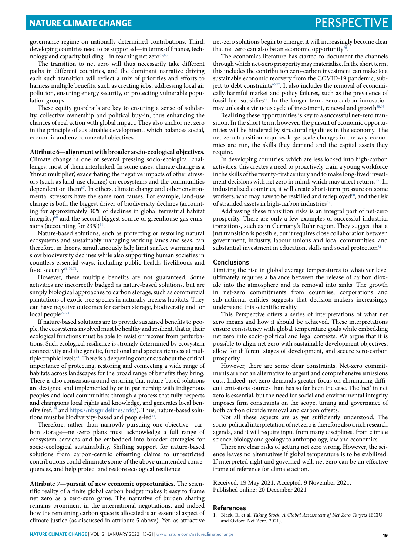governance regime on nationally determined contributions. Third, developing countries need to be supported—in terms of finance, technology and capacity building—in reaching net zero<sup>65,66</sup>.

The transition to net zero will thus necessarily take different paths in different countries, and the dominant narrative driving each such transition will reflect a mix of priorities and efforts to harness multiple benefits, such as creating jobs, addressing local air pollution, ensuring energy security, or protecting vulnerable population groups.

These equity guardrails are key to ensuring a sense of solidarity, collective ownership and political buy-in, thus enhancing the chances of real action with global impact. They also anchor net zero in the principle of sustainable development, which balances social, economic and environmental objectives.

### **Attribute 6—alignment with broader socio-ecological objectives.**

Climate change is one of several pressing socio-ecological challenges, most of them interlinked. In some cases, climate change is a 'threat multiplier', exacerbating the negative impacts of other stressors (such as land-use change) on ecosystems and the communities dependent on them $67$ . In others, climate change and other environmental stressors have the same root causes. For example, land-use change is both the biggest driver of biodiversity declines (accounting for approximately 30% of declines in global terrestrial habitat integrity) $68$  and the second biggest source of greenhouse gas emissions (accounting for  $23\%$ )<sup>69</sup>.

Nature-based solutions, such as protecting or restoring natural ecosystems and sustainably managing working lands and seas, can therefore, in theory, simultaneously help limit surface warming and slow biodiversity declines while also supporting human societies in countless essential ways, including public health, livelihoods and food security<sup>68,[70](#page-5-59)[,71](#page-6-0)</sup>.

However, these multiple benefits are not guaranteed. Some activities are incorrectly badged as nature-based solutions, but are simply biological approaches to carbon storage, such as commercial plantations of exotic tree species in naturally treeless habitats. They can have negative outcomes for carbon storage, biodiversity and for local people $72,73$  $72,73$ .

If nature-based solutions are to provide sustained benefits to people, the ecosystems involved must be healthy and resilient, that is, their ecological functions must be able to resist or recover from perturbations. Such ecological resilience is strongly determined by ecosystem connectivity and the genetic, functional and species richness at multiple trophic levels<sup>74</sup>. There is a deepening consensus about the critical importance of protecting, restoring and connecting a wide range of habitats across landscapes for the broad range of benefits they bring. There is also consensus around ensuring that nature-based solutions are designed and implemented by or in partnership with Indigenous peoples and local communities through a process that fully respects and champions local rights and knowledge, and generates local benefits (ref. [75](#page-6-4) and<https://nbsguidelines.info/>). Thus, nature-based solutions must be biodiversity-based and people-led<sup>71</sup>.

Therefore, rather than narrowly pursuing one objective—carbon storage—net-zero plans must acknowledge a full range of ecosystem services and be embedded into broader strategies for socio-ecological sustainability. Shifting support for nature-based solutions from carbon-centric offsetting claims to unrestricted contributions could eliminate some of the above unintended consequences, and help protect and restore ecological resilience.

**Attribute 7—pursuit of new economic opportunities.** The scientific reality of a finite global carbon budget makes it easy to frame net zero as a zero-sum game. The narrative of burden sharing remains prominent in the international negotiations, and indeed how the remaining carbon space is allocated is an essential aspect of climate justice (as discussed in attribute 5 above). Yet, as attractive

net-zero solutions begin to emerge, it will increasingly become clear that net zero can also be an economic opportunity $76$ .

The economics literature has started to document the channels through which net-zero prosperity may materialize. In the short term, this includes the contribution zero-carbon investment can make to a sustainable economic recovery from the COVID-19 pandemic, sub-ject to debt constraints<sup>[66,](#page-5-55)[77](#page-6-6)</sup>. It also includes the removal of economically harmful market and policy failures, such as the prevalence of fossil-fuel subsidie[s78](#page-6-7). In the longer term, zero-carbon innovation may unleash a virtuous cycle of investment, renewal and growth<sup>35,76</sup>.

Realizing these opportunities is key to a successful net-zero transition. In the short term, however, the pursuit of economic opportunities will be hindered by structural rigidities in the economy. The net-zero transition requires large-scale changes in the way economies are run, the skills they demand and the capital assets they require.

In developing countries, which are less locked into high-carbon activities, this creates a need to proactively train a young workforce in the skills of the twenty-first century and to make long-lived investment decisions with net zero in mind, which may affect returns<sup>79</sup>. In industrialized countries, it will create short-term pressure on some workers, who may have to be reskilled and redeployed<sup>80</sup>, and the risk of stranded assets in high-carbon industries<sup>38</sup>.

Addressing these transition risks is an integral part of net-zero prosperity. There are only a few examples of successful industrial transitions, such as in Germany's Ruhr region. They suggest that a just transition is possible, but it requires close collaboration between government, industry, labour unions and local communities, and substantial investment in education, skills and social protection<sup>81</sup>.

#### **Conclusions**

Limiting the rise in global average temperatures to whatever level ultimately requires a balance between the release of carbon dioxide into the atmosphere and its removal into sinks. The growth in net-zero commitments from countries, corporations and sub-national entities suggests that decision-makers increasingly understand this scientific reality.

This Perspective offers a series of interpretations of what net zero means and how it should be achieved. These interpretations ensure consistency with global temperature goals while embedding net zero into socio-political and legal contexts. We argue that it is possible to align net zero with sustainable development objectives, allow for different stages of development, and secure zero-carbon prosperity.

However, there are some clear constraints. Net-zero commitments are not an alternative to urgent and comprehensive emissions cuts. Indeed, net zero demands greater focus on eliminating difficult emissions sources than has so far been the case. The 'net' in net zero is essential, but the need for social and environmental integrity imposes firm constraints on the scope, timing and governance of both carbon dioxide removal and carbon offsets.

Not all these aspects are as yet sufficiently understood. The socio-political interpretation of net zero is therefore also a rich research agenda, and it will require input from many disciplines, from climate science, biology and geology to anthropology, law and economics.

There are clear risks of getting net zero wrong. However, the science leaves no alternatives if global temperature is to be stabilized. If interpreted right and governed well, net zero can be an effective frame of reference for climate action.

Received: 19 May 2021; Accepted: 9 November 2021; Published online: 20 December 2021

#### **References**

<span id="page-4-0"></span><sup>1.</sup> Black, R. et al. *Taking Stock: A Global Assessment of Net Zero Targets* (ECIU and Oxford Net Zero, 2021).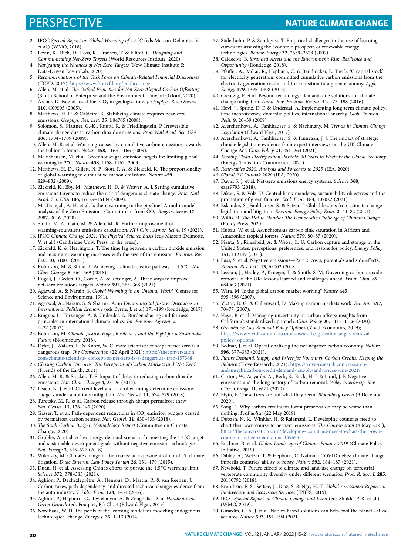## Perspective **NaTure ClimaTe CHange**

- <span id="page-5-0"></span>2. IPCC *Special Report on Global Warming of 1.5 °C* (eds Masson-Delmotte, V. et al.) (WMO, 2018).
- <span id="page-5-1"></span>3. Levin, K., Rich, D., Ross, K., Fransen, T. & Elliott, C. *Designing and Communicating Net-Zero Targets* (World Resources Institute, 2020).
- <span id="page-5-2"></span>4. *Navigating the Nuances of Net-Zero Targets* (New Climate Institute & Data-Driven EnviroLab, 2020).
- <span id="page-5-3"></span>5. *Recommendations of the Task Force on Climate-Related Financial Disclosures* (TCFD, 2017); <https://www.fsb-tcfd.org/publications/>
- <span id="page-5-4"></span>6. Allen, M. et al. *Te Oxford Principles for Net Zero Aligned Carbon Ofsetting* (Smith School of Enterprise and the Environment, Univ. of Oxford, 2020).
- <span id="page-5-5"></span>7. Archer, D. Fate of fossil fuel CO<sub>2</sub> in geologic time. *J. Geophys. Res. Oceans* **110**, C09S05 (2005).
- 8. Matthews, H. D. & Caldeira, K. Stabilizing climate requires near-zero emissions. *Geophys. Res. Lett.* **35**, L04705 (2008).
- <span id="page-5-6"></span>9. Solomon, S., Plattner, G.-K., Knutti, R. & Friedlingstein, P. Irreversible climate change due to carbon dioxide emissions. *Proc. Natl Acad. Sci. USA* **106**, 1704–1709 (2009).
- <span id="page-5-7"></span>10. Allen, M. R. et al. Warming caused by cumulative carbon emissions towards the trillionth tonne. *Nature* **458**, 1163–1166 (2009).
- 11. Meinshausen, M. et al. Greenhouse-gas emission targets for limiting global warming to 2 °C. *Nature* **458**, 1158–1162 (2009).
- 12. Matthews, H. D., Gillett, N. P., Stott, P. A. & Zickfeld, K. The proportionality of global warming to cumulative carbon emissions. *Nature* **459**, 829–832 (2009).
- <span id="page-5-8"></span>13. Zickfeld, K., Eby, M., Matthews, H. D. & Weaver, A. J. Setting cumulative emissions targets to reduce the risk of dangerous climate change. *Proc. Natl Acad. Sci. USA* **106**, 16129–16134 (2009).
- <span id="page-5-9"></span>14. MacDougall, A. H. et al. Is there warming in the pipeline? A multi-model analysis of the Zero Emissions Commitment from CO<sub>2</sub>. *Biogeosciences* 17, 2987–3016 (2020).
- <span id="page-5-10"></span>15. Smith, M. A., Cain, M. & Allen, M. R. Further improvement of warming-equivalent emissions calculation. *NPJ Clim. Atmos. Sci* **4**, 19 (2021).
- <span id="page-5-11"></span>16. IPCC *Climate Change 2021: Te Physical Science Basis* (eds Masson-Delmotte, V. et al.) (Cambridge Univ. Press, in the press).
- <span id="page-5-12"></span>17. Zickfeld, K. & Herrington, T. The time lag between a carbon dioxide emission and maximum warming increases with the size of the emission. *Environ. Res. Lett.* **10**, 31001 (2015).
- <span id="page-5-13"></span>18. Robinson, M. & Shine, T. Achieving a climate justice pathway to 1.5 °C. *Nat. Clim. Change* **8**, 564–569 (2018).
- <span id="page-5-14"></span>19. Rogelj, J., Geden, O., Cowie, A. & Reisinger, A. Three ways to improve net-zero emissions targets. *Nature* **591**, 365–368 (2021).
- <span id="page-5-15"></span>20. Agarwal, A. & Narain, S. *Global Warming in an Unequal World* (Centre for Science and Environment, 1991).
- 21. Agarwal, A., Narain, S. & Sharma, A. in *Environmental Justice: Discourses in International Political Economy* (eds Byrne, J. et al) 171–199 (Routledge, 2017).
- 22. Ringius, L., Torvanger, A. & Underdal, A. Burden sharing and fairness principles in international climate policy. *Int. Environ. Agreem.* **2**,  $1-22$  (2002).
- <span id="page-5-16"></span>23. Robinson, M. *Climate Justice: Hope, Resilience, and the Fight for a Sustainable Future* (Bloomsbury, 2018).
- <span id="page-5-17"></span>24. Dyke, J., Watson, R. & Knorr, W. Climate scientists: concept of net zero is a dangerous trap. *Te Conversation* (22 April 2021); [https://theconversation.](https://theconversation.com/climate-scientists-concept-of-net-zero-is-a-dangerous-trap-157368) [com/climate-scientists- concept-of-net-zero-is-a-dangerous- trap-157368](https://theconversation.com/climate-scientists-concept-of-net-zero-is-a-dangerous-trap-157368)
- <span id="page-5-18"></span>25. *Chasing Carbon Unicorns: Te Deception of Carbon Markets and 'Net Zero'* (Friends of the Earth, 2021).
- <span id="page-5-19"></span>26. Allen, M. R. & Stocker, T. F. Impact of delay in reducing carbon dioxide emissions. *Nat. Clim. Change* **4**, 23–26 (2014).
- <span id="page-5-20"></span>27. Leach, N. J. et al. Current level and rate of warming determine emissions budgets under ambitious mitigation. *Nat. Geosci.* **11**, 574–579 (2018).
- <span id="page-5-21"></span>28. Turetsky, M. R. et al. Carbon release through abrupt permafrost thaw. *Nat. Geosci.* **13**, 138–143 (2020).
- <span id="page-5-22"></span>29. Gasser, T. et al. Path-dependent reductions in  $\mathrm{CO}_2$  emission budgets caused by permafrost carbon release. *Nat. Geosci.* **11**, 830–835 (2018).
- <span id="page-5-23"></span>30. *Te Sixth Carbon Budget: Methodology Report* (Committee on Climate Change, 2020).
- 31. Grubler, A. et al. A low energy demand scenario for meeting the 1.5 °C target and sustainable development goals without negative emission technologies. *Nat. Energy* **3**, 515–527 (2018).
- 32. Wilensky, M. Climate change in the courts: an assessment of non-U.S. climate litigation. *Duke Environ. Law Policy Forum* **26**, 131–179 (2015).
- <span id="page-5-24"></span>33. Duan, H. et al. Assessing China's efforts to pursue the 1.5 °C warming limit. *Science* **372**, 378–385 (2021).
- <span id="page-5-25"></span>34. Aghion, P., Dechezleprêtre, A., Hemous, D., Martin, R. & van Reenen, J. Carbon taxes, path dependency, and directed technical change: evidence from the auto industry. *J. Polit. Econ.* **124**, 1–51 (2016).
- <span id="page-5-26"></span>35. Aghion, P., Hepburn, C., Teytelboym, A. & Zenghelis, D. in *Handbook on Green Growth* (ed. Fouquet, R.) Ch. 4 (Edward Elgar, 2019).
- <span id="page-5-27"></span>36. Nordhaus, W. D. The perils of the learning model for modeling endogenous technological change. *Energy J.* **35**, 1–13 (2014).
- <span id="page-5-28"></span>37. Söderholm, P. & Sundqvist, T. Empirical challenges in the use of learning curves for assessing the economic prospects of renewable energy technologies. *Renew. Energy* **32**, 2559–2578 (2007).
- <span id="page-5-29"></span>38. Caldecott, B. *Stranded Assets and the Environment: Risk, Resilience and Opportunity* (Routledge, 2018).
- 39. Pfeiffer, A., Millar, R., Hepburn, C. & Beinhocker, E. The '2 °C capital stock' for electricity generation: committed cumulative carbon emissions from the electricity generation sector and the transition to a green economy. *Appl. Energy* **179**, 1395–1408 (2016).
- <span id="page-5-30"></span>40. Creutzig, F. et al. Beyond technology: demand-side solutions for climate change mitigation. *Annu. Rev. Environ. Resour.* **41**, 173–198 (2016).
- <span id="page-5-31"></span>41. Hovi, J., Sprinz, D. F. & Underdal, A. Implementing long-term climate policy: time inconsistency, domestic politics, international anarchy. *Glob. Environ. Polit.* **9**, 20–39 (2009).
- <span id="page-5-32"></span>42. Averchenkova, A., Fankhauser, S. & Nachmany, M. *Trends in Climate Change Legislation* (Edward Elgar, 2017).
- <span id="page-5-33"></span>43. Averchenkova, A., Fankhauser, S. & Finnegan, J. J. The impact of strategic climate legislation: evidence from expert interviews on the UK Climate Change Act. *Clim. Policy* **21**, 251–263 (2021).
- <span id="page-5-34"></span>44. *Making Clean Electrifcation Possible: 30 Years to Electrify the Global Economy* (Energy Transition Commission, 2021).
- <span id="page-5-35"></span>45. *Renewables 2020: Analysis and Forecasts to 2025* (IEA, 2020).
- <span id="page-5-36"></span>46. *Global EV Outlook 2020* (IEA, 2020).
- <span id="page-5-37"></span>47. Davis, S. J. et al. Net-zero emissions energy systems. *Science* **360**, eaas9793 (2018).
- <span id="page-5-38"></span>48. Dikau, S. & Volz, U. Central bank mandates, sustainability objectives and the promotion of green fnance. *Ecol. Econ.* **184**, 107022 (2021).
- <span id="page-5-39"></span>49. Eskander, S., Fankhauser, S. & Setzer, J. Global lessons from climate change legislation and litigation. *Environ. Energy Policy Econ.* **2**, 44–82 (2021).
- <span id="page-5-40"></span>50. Willis, R. *Too Hot to Handle? Te Democratic Challenge of Climate Change* (Policy Press, 2020).
- <span id="page-5-41"></span>51. Hubau, W. et al. Asynchronous carbon sink saturation in African and Amazonian tropical forests. *Nature* **579**, 80–87 (2020).
- <span id="page-5-42"></span>52. Pianta, S., Rinscheid, A. & Weber, E. U. Carbon capture and storage in the United States: perceptions, preferences, and lessons for policy. *Energy Policy* **151**, 112149 (2021).
- <span id="page-5-43"></span>53. Fuss, S. et al. Negative emissions—Part 2: costs, potentials and side efects. *Environ. Res. Lett.* **13**, 63002 (2018).
- <span id="page-5-44"></span>54. Lezaun, J., Healey, P., Krueger, T. & Smith, S. M. Governing carbon dioxide removal in the UK: lessons learned and challenges ahead. *Front. Clim.* **89**, 684063 (2021).
- <span id="page-5-45"></span>55. Wara, M. Is the global carbon market working? *Nature* **445**, 595–596 (2007).
- 56. Victor, D. G. & Cullenward, D. Making carbon markets work. *Sci. Am.* **297**, 70–77 (2007).
- <span id="page-5-46"></span>57. Haya, B. et al. Managing uncertainty in carbon ofsets: insights from California's standardized approach. *Clim. Policy* **20**, 1112–1126 (2020).
- <span id="page-5-47"></span>58. *Greenhouse Gas Removal Policy Options* (Vivid Economics, 2019); [https://www.vivideconomics.com/ casestudy/ greenhouse-gas-removal](https://www.vivideconomics.com/casestudy/greenhouse-gas-removal-policy-options/)[policy- options/](https://www.vivideconomics.com/casestudy/greenhouse-gas-removal-policy-options/)
- <span id="page-5-48"></span>59. Bednar, J. et al. Operationalizing the net-negative carbon economy. *Nature* **596**, 377–383 (2021).
- <span id="page-5-49"></span>60. *Future Demand, Supply and Prices for Voluntary Carbon Credits: Keeping the Balance* (Trove Research, 2021); [https://trove-research.com/research](https://trove-research.com/research-and-insight/carbon-credit-demand-supply-and-prices-june-2021/)[and-insight/carbon-credit-demand- supply-and-prices-june-2021/](https://trove-research.com/research-and-insight/carbon-credit-demand-supply-and-prices-june-2021/)
- <span id="page-5-50"></span>61. Carton, W., Asiyanbi, A., Beck, S., Buck, H. J. & Lund, J. F. Negative emissions and the long history of carbon removal. *Wiley Interdiscip. Rev. Clim. Change* **11**, e671 (2020).
- <span id="page-5-51"></span>62. Elgin, B. These trees are not what they seem. *Bloomberg Green* (9 December 2020).
- <span id="page-5-52"></span>63. Song, L. Why carbon credits for forest preservation may be worse than nothing. *ProPublica* (22 May 2019).
- <span id="page-5-53"></span>64. Dubash, N. K., Winkler, H. & Rajamani, L. Developing countries need to chart their own course to net zero emissions. *Te Conversation* (4 May 2021); [https://theconversation.com/developing- countries-need-to-chart-their-own](https://theconversation.com/developing-countries-need-to-chart-their-own-course-to-net-zero-emissions-159655)[course-to-net-zero-emissions-159655](https://theconversation.com/developing-countries-need-to-chart-their-own-course-to-net-zero-emissions-159655)
- <span id="page-5-54"></span>65. Buchner, B. et al. *Global Landscape of Climate Finance 2019* (Climate Policy Initiative, 2019).
- <span id="page-5-55"></span>66. Dibley, A., Wetzer, T. & Hepburn, C. National COVID debts: climate change imperils countries' ability to repay. *Nature* **592**, 184–187 (2021).
- <span id="page-5-56"></span>67. Newbold, T. Future efects of climate and land-use change on terrestrial vertebrate community diversity under diferent scenarios. *Proc. R. Soc. B* **285**, 20180792 (2018).
- <span id="page-5-57"></span>68. Brondizio, E. S., Settele, J., Diaz, S. & Ngo, H. T. *Global Assessment Report on Biodiversity and Ecosystem Services* (IPBES, 2019).
- <span id="page-5-58"></span>69. IPCC *Special Report on Climate Change and Land* (eds Shukla, P. R. et al.) (WMO, 2019).
- <span id="page-5-59"></span>70. Girardin, C. A. J. et al. Nature-based solutions can help cool the planet—if we act now. *Nature* **593**, 191–194 (2021).